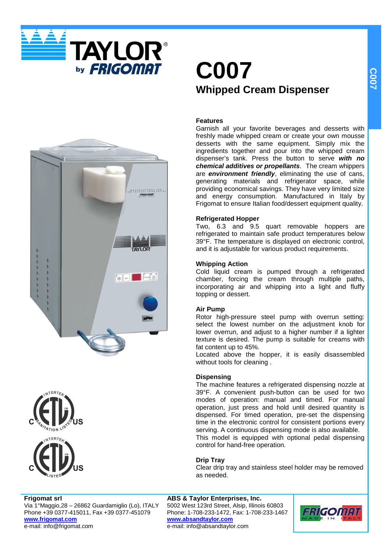

## **C007 Whipped Cream Dispenser**

### **Features**

Garnish all your favorite beverages and desserts with freshly made whipped cream or create your own mousse desserts with the same equipment. Simply mix the ingredients together and pour into the whipped cream dispenser's tank. Press the button to serve **with no chemical additives or propellants**. The cream whippers are **environment friendly**, eliminating the use of cans, generating materials and refrigerator space, while providing economical savings. They have very limited size and energy consumption. Manufactured in Italy by Frigomat to ensure Italian food/dessert equipment quality.

### **Refrigerated Hopper**

Two, 6.3 and 9.5 quart removable hoppers are refrigerated to maintain safe product temperatures below 39°F. The temperature is displayed on electronic control, and it is adjustable for various product requirements.

### **Whipping Action**

Cold liquid cream is pumped through a refrigerated chamber, forcing the cream through multiple paths, incorporating air and whipping into a light and fluffy topping or dessert.

### **Air Pump**

Rotor high-pressure steel pump with overrun setting: select the lowest number on the adjustment knob for lower overrun, and adjust to a higher number if a lighter texture is desired. The pump is suitable for creams with fat content up to 45%.

Located above the hopper, it is easily disassembled without tools for cleaning .

### **Dispensing**

The machine features a refrigerated dispensing nozzle at 39°F. A convenient push-button can be used for two modes of operation: manual and timed. For manual operation, just press and hold until desired quantity is dispensed. For timed operation, pre-set the dispensing time in the electronic control for consistent portions every serving. A continuous dispensing mode is also available. This model is equipped with optional pedal dispensing control for hand-free operation.

### **Drip Tray**

Clear drip tray and stainless steel holder may be removed as needed.

### **Frigomat srl**

Via 1°Maggio,28 – 26862 Guardamiglio (Lo), ITALY Phone +39 0377-415011, Fax +39 0377-451079 **www.frigomat.com** e-mail: info@frigomat.com

**ABS & Taylor Enterprises, Inc.** 5002 West 123rd Street, Alsip, Illinois 60803 Phone: 1-708-233-1472, Fax: 1-708-233-1467 **www.absandtaylor.com** e-mail: info@absandtaylor.com